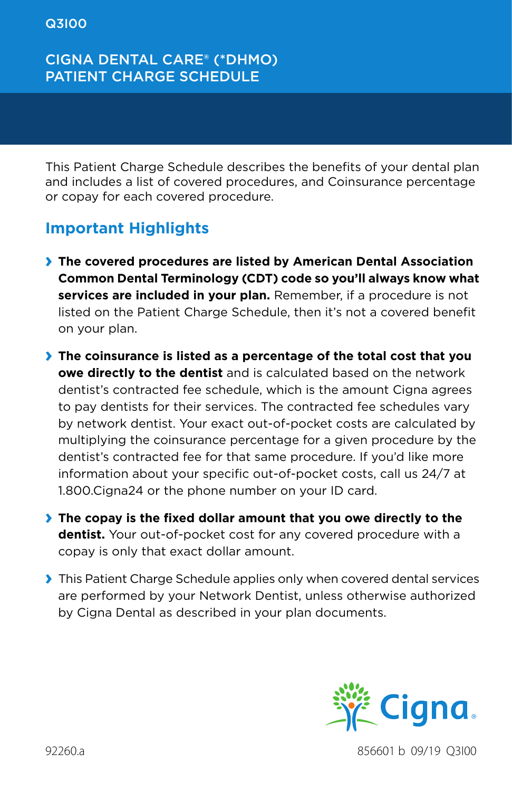### CIGNA DENTAL CARE® (\*DHMO) PATIENT CHARGE SCHEDULE

This Patient Charge Schedule describes the benefits of your dental plan and includes a list of covered procedures, and Coinsurance percentage or copay for each covered procedure.

### **Important Highlights**

- **› The covered procedures are listed by American Dental Association Common Dental Terminology (CDT) code so you'll always know what services are included in your plan.** Remember, if a procedure is not listed on the Patient Charge Schedule, then it's not a covered benefit on your plan.
- **› The coinsurance is listed as a percentage of the total cost that you owe directly to the dentist** and is calculated based on the network dentist's contracted fee schedule, which is the amount Cigna agrees to pay dentists for their services. The contracted fee schedules vary by network dentist. Your exact out-of-pocket costs are calculated by multiplying the coinsurance percentage for a given procedure by the dentist's contracted fee for that same procedure. If you'd like more information about your specific out-of-pocket costs, call us 24/7 at 1.800.Cigna24 or the phone number on your ID card.
- **› The copay is the fixed dollar amount that you owe directly to the dentist.** Your out-of-pocket cost for any covered procedure with a copay is only that exact dollar amount.
- **›** This Patient Charge Schedule applies only when covered dental services are performed by your Network Dentist, unless otherwise authorized by Cigna Dental as described in your plan documents.



92260.a 856601 b 09/19 Q3I00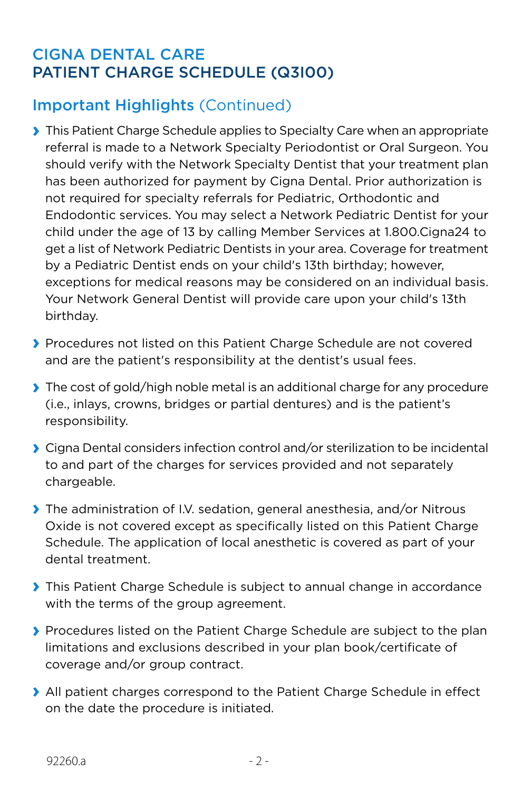# Important Highlights (Continued)

- **›** This Patient Charge Schedule applies to Specialty Care when an appropriate referral is made to a Network Specialty Periodontist or Oral Surgeon. You should verify with the Network Specialty Dentist that your treatment plan has been authorized for payment by Cigna Dental. Prior authorization is not required for specialty referrals for Pediatric, Orthodontic and Endodontic services. You may select a Network Pediatric Dentist for your child under the age of 13 by calling Member Services at 1.800.Cigna24 to get a list of Network Pediatric Dentists in your area. Coverage for treatment by a Pediatric Dentist ends on your child's 13th birthday; however, exceptions for medical reasons may be considered on an individual basis. Your Network General Dentist will provide care upon your child's 13th birthday.
- **›** Procedures not listed on this Patient Charge Schedule are not covered and are the patient's responsibility at the dentist's usual fees.
- **›** The cost of gold/high noble metal is an additional charge for any procedure (i.e., inlays, crowns, bridges or partial dentures) and is the patient's responsibility.
- **›** Cigna Dental considers infection control and/or sterilization to be incidental to and part of the charges for services provided and not separately chargeable.
- **›** The administration of I.V. sedation, general anesthesia, and/or Nitrous Oxide is not covered except as specifically listed on this Patient Charge Schedule. The application of local anesthetic is covered as part of your dental treatment.
- **›** This Patient Charge Schedule is subject to annual change in accordance with the terms of the group agreement.
- **›** Procedures listed on the Patient Charge Schedule are subject to the plan limitations and exclusions described in your plan book/certificate of coverage and/or group contract.
- **›** All patient charges correspond to the Patient Charge Schedule in effect on the date the procedure is initiated.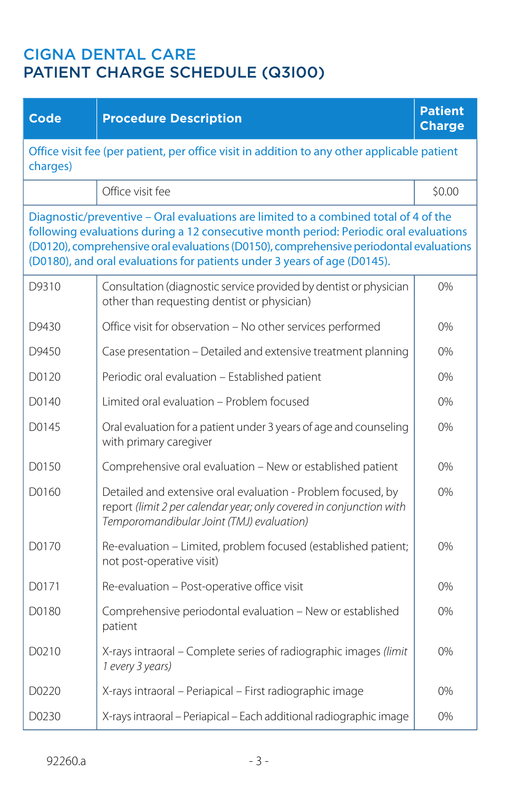| <b>Code</b>                                                                                             | <b>Procedure Description</b>                                                                                                                                                                                                                                                                                                                        | <b>Patient</b><br><b>Charge</b> |
|---------------------------------------------------------------------------------------------------------|-----------------------------------------------------------------------------------------------------------------------------------------------------------------------------------------------------------------------------------------------------------------------------------------------------------------------------------------------------|---------------------------------|
| Office visit fee (per patient, per office visit in addition to any other applicable patient<br>charges) |                                                                                                                                                                                                                                                                                                                                                     |                                 |
|                                                                                                         | Office visit fee                                                                                                                                                                                                                                                                                                                                    | \$0.00                          |
|                                                                                                         | Diagnostic/preventive - Oral evaluations are limited to a combined total of 4 of the<br>following evaluations during a 12 consecutive month period: Periodic oral evaluations<br>(D0120), comprehensive oral evaluations (D0150), comprehensive periodontal evaluations<br>(D0180), and oral evaluations for patients under 3 years of age (D0145). |                                 |
| D9310                                                                                                   | Consultation (diagnostic service provided by dentist or physician<br>other than requesting dentist or physician)                                                                                                                                                                                                                                    | 0%                              |
| D9430                                                                                                   | Office visit for observation - No other services performed                                                                                                                                                                                                                                                                                          | 0%                              |
| D9450                                                                                                   | Case presentation - Detailed and extensive treatment planning                                                                                                                                                                                                                                                                                       | 0%                              |
| D0120                                                                                                   | Periodic oral evaluation - Established patient                                                                                                                                                                                                                                                                                                      | 0%                              |
| D0140                                                                                                   | Limited oral evaluation - Problem focused                                                                                                                                                                                                                                                                                                           | $0\%$                           |
| D0145                                                                                                   | Oral evaluation for a patient under 3 years of age and counseling<br>with primary caregiver                                                                                                                                                                                                                                                         | 0%                              |
| D0150                                                                                                   | Comprehensive oral evaluation - New or established patient                                                                                                                                                                                                                                                                                          | 0%                              |
| D0160                                                                                                   | Detailed and extensive oral evaluation - Problem focused, by<br>report (limit 2 per calendar year; only covered in conjunction with<br>Temporomandibular Joint (TMJ) evaluation)                                                                                                                                                                    | 0%                              |
| D0170                                                                                                   | Re-evaluation - Limited, problem focused (established patient;<br>not post-operative visit)                                                                                                                                                                                                                                                         | 0%                              |
| D0171                                                                                                   | Re-evaluation - Post-operative office visit                                                                                                                                                                                                                                                                                                         | 0%                              |
| D0180                                                                                                   | Comprehensive periodontal evaluation - New or established<br>patient                                                                                                                                                                                                                                                                                | 0%                              |
| D0210                                                                                                   | X-rays intraoral - Complete series of radiographic images (limit<br>1 every 3 years)                                                                                                                                                                                                                                                                | 0%                              |
| D0220                                                                                                   | X-rays intraoral - Periapical - First radiographic image                                                                                                                                                                                                                                                                                            | 0%                              |
| D0230                                                                                                   | X-rays intraoral - Periapical - Each additional radiographic image                                                                                                                                                                                                                                                                                  | 0%                              |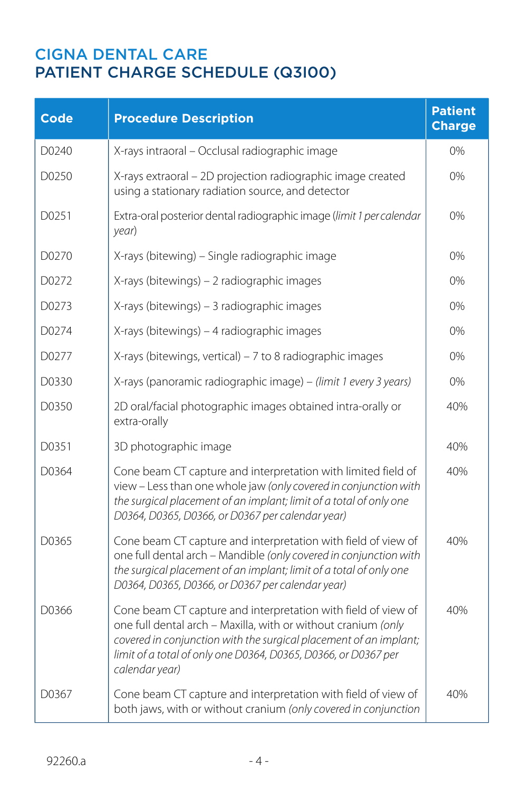| <b>Code</b> | <b>Procedure Description</b>                                                                                                                                                                                                                                                            | <b>Patient</b><br><b>Charge</b> |
|-------------|-----------------------------------------------------------------------------------------------------------------------------------------------------------------------------------------------------------------------------------------------------------------------------------------|---------------------------------|
| D0240       | X-rays intraoral - Occlusal radiographic image                                                                                                                                                                                                                                          | $0\%$                           |
| D0250       | X-rays extraoral - 2D projection radiographic image created<br>using a stationary radiation source, and detector                                                                                                                                                                        | 0%                              |
| D0251       | Extra-oral posterior dental radiographic image (limit 1 per calendar<br>year)                                                                                                                                                                                                           | 0%                              |
| D0270       | X-rays (bitewing) - Single radiographic image                                                                                                                                                                                                                                           | 0%                              |
| D0272       | X-rays (bitewings) - 2 radiographic images                                                                                                                                                                                                                                              | 0%                              |
| D0273       | X-rays (bitewings) - 3 radiographic images                                                                                                                                                                                                                                              | 0%                              |
| D0274       | X-rays (bitewings) - 4 radiographic images                                                                                                                                                                                                                                              | 0%                              |
| D0277       | X-rays (bitewings, vertical) – 7 to 8 radiographic images                                                                                                                                                                                                                               | 0%                              |
| D0330       | X-rays (panoramic radiographic image) - (limit 1 every 3 years)                                                                                                                                                                                                                         | 0%                              |
| D0350       | 2D oral/facial photographic images obtained intra-orally or<br>extra-orally                                                                                                                                                                                                             | 40%                             |
| D0351       | 3D photographic image                                                                                                                                                                                                                                                                   | 40%                             |
| D0364       | Cone beam CT capture and interpretation with limited field of<br>view - Less than one whole jaw (only covered in conjunction with<br>the surgical placement of an implant; limit of a total of only one<br>D0364, D0365, D0366, or D0367 per calendar year)                             | 40%                             |
| D0365       | Cone beam CT capture and interpretation with field of view of<br>one full dental arch - Mandible (only covered in conjunction with<br>the surgical placement of an implant; limit of a total of only one<br>D0364, D0365, D0366, or D0367 per calendar year)                            | 40%                             |
| D0366       | Cone beam CT capture and interpretation with field of view of<br>one full dental arch - Maxilla, with or without cranium (only<br>covered in conjunction with the surgical placement of an implant;<br>limit of a total of only one D0364, D0365, D0366, or D0367 per<br>calendar year) | 40%                             |
| D0367       | Cone beam CT capture and interpretation with field of view of<br>both jaws, with or without cranium (only covered in conjunction                                                                                                                                                        | 40%                             |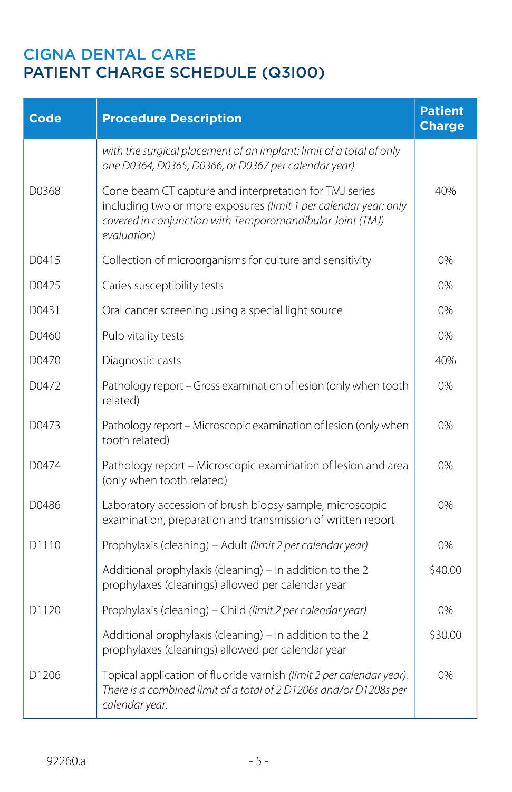| <b>Code</b>       | <b>Procedure Description</b>                                                                                                                                                                           | <b>Patient</b><br><b>Charge</b> |
|-------------------|--------------------------------------------------------------------------------------------------------------------------------------------------------------------------------------------------------|---------------------------------|
|                   | with the surgical placement of an implant; limit of a total of only<br>one D0364, D0365, D0366, or D0367 per calendar year)                                                                            |                                 |
| D0368             | Cone beam CT capture and interpretation for TMJ series<br>including two or more exposures (limit 1 per calendar year; only<br>covered in conjunction with Temporomandibular Joint (TMJ)<br>evaluation) | 40%                             |
| D0415             | Collection of microorganisms for culture and sensitivity                                                                                                                                               | 0%                              |
| D0425             | Caries susceptibility tests                                                                                                                                                                            | 0%                              |
| D0431             | Oral cancer screening using a special light source                                                                                                                                                     | 0%                              |
| D0460             | Pulp vitality tests                                                                                                                                                                                    | 0%                              |
| D0470             | Diagnostic casts                                                                                                                                                                                       | 40%                             |
| D0472             | Pathology report - Gross examination of lesion (only when tooth<br>related)                                                                                                                            | 0%                              |
| D0473             | Pathology report - Microscopic examination of lesion (only when<br>tooth related)                                                                                                                      | 0%                              |
| D0474             | Pathology report - Microscopic examination of lesion and area<br>(only when tooth related)                                                                                                             | 0%                              |
| D0486             | Laboratory accession of brush biopsy sample, microscopic<br>examination, preparation and transmission of written report                                                                                | 0%                              |
| D1110             | Prophylaxis (cleaning) - Adult (limit 2 per calendar year)                                                                                                                                             | 0%                              |
|                   | Additional prophylaxis (cleaning) - In addition to the 2<br>prophylaxes (cleanings) allowed per calendar year                                                                                          | \$40.00                         |
| D <sub>1120</sub> | Prophylaxis (cleaning) - Child (limit 2 per calendar year)                                                                                                                                             | $0\%$                           |
|                   | Additional prophylaxis (cleaning) - In addition to the 2<br>prophylaxes (cleanings) allowed per calendar year                                                                                          | \$30.00                         |
| D1206             | Topical application of fluoride varnish (limit 2 per calendar year).<br>There is a combined limit of a total of 2 D1206s and/or D1208s per<br>calendar year.                                           | 0%                              |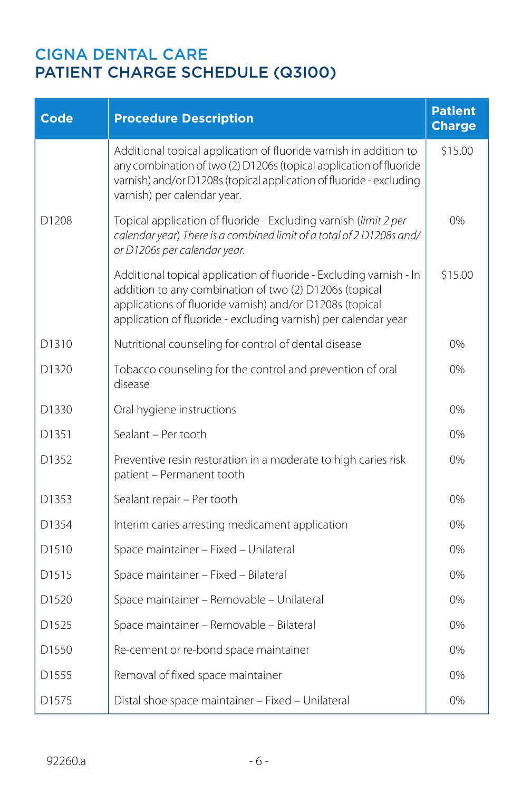| <b>Code</b>       | <b>Procedure Description</b>                                                                                                                                                                                                                                | <b>Patient</b><br><b>Charge</b> |
|-------------------|-------------------------------------------------------------------------------------------------------------------------------------------------------------------------------------------------------------------------------------------------------------|---------------------------------|
|                   | Additional topical application of fluoride varnish in addition to<br>any combination of two (2) D1206s (topical application of fluoride<br>varnish) and/or D1208s (topical application of fluoride - excluding<br>varnish) per calendar year.               | \$15.00                         |
| D <sub>1208</sub> | Topical application of fluoride - Excluding varnish (limit 2 per<br>calendar year) There is a combined limit of a total of 2 D1208s and/<br>or D1206s per calendar year.                                                                                    | 0%                              |
|                   | Additional topical application of fluoride - Excluding varnish - In<br>addition to any combination of two (2) D1206s (topical<br>applications of fluoride varnish) and/or D1208s (topical<br>application of fluoride - excluding varnish) per calendar year | \$15.00                         |
| D1310             | Nutritional counseling for control of dental disease                                                                                                                                                                                                        | 0%                              |
| D <sub>1320</sub> | Tobacco counseling for the control and prevention of oral<br>disease                                                                                                                                                                                        | 0%                              |
| D1330             | Oral hygiene instructions                                                                                                                                                                                                                                   | 0%                              |
| D1351             | Sealant - Per tooth                                                                                                                                                                                                                                         | 0%                              |
| D1352             | Preventive resin restoration in a moderate to high caries risk<br>patient - Permanent tooth                                                                                                                                                                 | 0%                              |
| D1353             | Sealant repair - Per tooth                                                                                                                                                                                                                                  | 0%                              |
| D1354             | Interim caries arresting medicament application                                                                                                                                                                                                             | 0%                              |
| D1510             | Space maintainer - Fixed - Unilateral                                                                                                                                                                                                                       | 0%                              |
| D <sub>1515</sub> | Space maintainer - Fixed - Bilateral                                                                                                                                                                                                                        | 0%                              |
| D1520             | Space maintainer - Removable - Unilateral                                                                                                                                                                                                                   | 0%                              |
| D <sub>1525</sub> | Space maintainer - Removable - Bilateral                                                                                                                                                                                                                    | 0%                              |
| D1550             | Re-cement or re-bond space maintainer                                                                                                                                                                                                                       | 0%                              |
| D1555             | Removal of fixed space maintainer                                                                                                                                                                                                                           | 0%                              |
| D <sub>1575</sub> | Distal shoe space maintainer - Fixed - Unilateral                                                                                                                                                                                                           | 0%                              |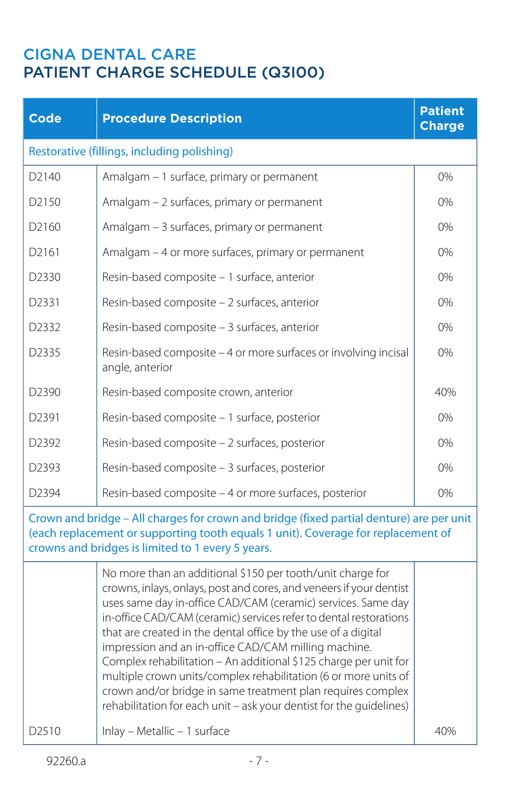| Code                                                                                                                                                                                                                               | <b>Procedure Description</b>                                                                                                                                                                                                                                                                                                                                                                                                                                                                                                                                                                                                                                                                                 | <b>Patient</b><br><b>Charge</b> |
|------------------------------------------------------------------------------------------------------------------------------------------------------------------------------------------------------------------------------------|--------------------------------------------------------------------------------------------------------------------------------------------------------------------------------------------------------------------------------------------------------------------------------------------------------------------------------------------------------------------------------------------------------------------------------------------------------------------------------------------------------------------------------------------------------------------------------------------------------------------------------------------------------------------------------------------------------------|---------------------------------|
|                                                                                                                                                                                                                                    | Restorative (fillings, including polishing)                                                                                                                                                                                                                                                                                                                                                                                                                                                                                                                                                                                                                                                                  |                                 |
| D2140                                                                                                                                                                                                                              | Amalgam - 1 surface, primary or permanent                                                                                                                                                                                                                                                                                                                                                                                                                                                                                                                                                                                                                                                                    | 0%                              |
| D <sub>2150</sub>                                                                                                                                                                                                                  | Amalgam - 2 surfaces, primary or permanent                                                                                                                                                                                                                                                                                                                                                                                                                                                                                                                                                                                                                                                                   | 0%                              |
| D <sub>2160</sub>                                                                                                                                                                                                                  | Amalgam - 3 surfaces, primary or permanent                                                                                                                                                                                                                                                                                                                                                                                                                                                                                                                                                                                                                                                                   | 0%                              |
| D2161                                                                                                                                                                                                                              | Amalgam - 4 or more surfaces, primary or permanent                                                                                                                                                                                                                                                                                                                                                                                                                                                                                                                                                                                                                                                           | 0%                              |
| D2330                                                                                                                                                                                                                              | Resin-based composite - 1 surface, anterior                                                                                                                                                                                                                                                                                                                                                                                                                                                                                                                                                                                                                                                                  | 0%                              |
| D2331                                                                                                                                                                                                                              | Resin-based composite - 2 surfaces, anterior                                                                                                                                                                                                                                                                                                                                                                                                                                                                                                                                                                                                                                                                 | 0%                              |
| D2332                                                                                                                                                                                                                              | Resin-based composite - 3 surfaces, anterior                                                                                                                                                                                                                                                                                                                                                                                                                                                                                                                                                                                                                                                                 | 0%                              |
| D2335                                                                                                                                                                                                                              | Resin-based composite - 4 or more surfaces or involving incisal<br>angle, anterior                                                                                                                                                                                                                                                                                                                                                                                                                                                                                                                                                                                                                           | 0%                              |
| D2390                                                                                                                                                                                                                              | Resin-based composite crown, anterior                                                                                                                                                                                                                                                                                                                                                                                                                                                                                                                                                                                                                                                                        | 40%                             |
| D <sub>2</sub> 391                                                                                                                                                                                                                 | Resin-based composite – 1 surface, posterior                                                                                                                                                                                                                                                                                                                                                                                                                                                                                                                                                                                                                                                                 | 0%                              |
| D2392                                                                                                                                                                                                                              | Resin-based composite - 2 surfaces, posterior                                                                                                                                                                                                                                                                                                                                                                                                                                                                                                                                                                                                                                                                | 0%                              |
| D2393                                                                                                                                                                                                                              | Resin-based composite - 3 surfaces, posterior                                                                                                                                                                                                                                                                                                                                                                                                                                                                                                                                                                                                                                                                | 0%                              |
| D <sub>2</sub> 394                                                                                                                                                                                                                 | Resin-based composite - 4 or more surfaces, posterior                                                                                                                                                                                                                                                                                                                                                                                                                                                                                                                                                                                                                                                        | 0%                              |
| Crown and bridge - All charges for crown and bridge (fixed partial denture) are per unit<br>(each replacement or supporting tooth equals 1 unit). Coverage for replacement of<br>crowns and bridges is limited to 1 every 5 years. |                                                                                                                                                                                                                                                                                                                                                                                                                                                                                                                                                                                                                                                                                                              |                                 |
| D <sub>2510</sub>                                                                                                                                                                                                                  | No more than an additional \$150 per tooth/unit charge for<br>crowns, inlays, onlays, post and cores, and veneers if your dentist<br>uses same day in-office CAD/CAM (ceramic) services. Same day<br>in-office CAD/CAM (ceramic) services refer to dental restorations<br>that are created in the dental office by the use of a digital<br>impression and an in-office CAD/CAM milling machine.<br>Complex rehabilitation - An additional \$125 charge per unit for<br>multiple crown units/complex rehabilitation (6 or more units of<br>crown and/or bridge in same treatment plan requires complex<br>rehabilitation for each unit - ask your dentist for the guidelines)<br>Inlay - Metallic - 1 surface | 40%                             |
|                                                                                                                                                                                                                                    |                                                                                                                                                                                                                                                                                                                                                                                                                                                                                                                                                                                                                                                                                                              |                                 |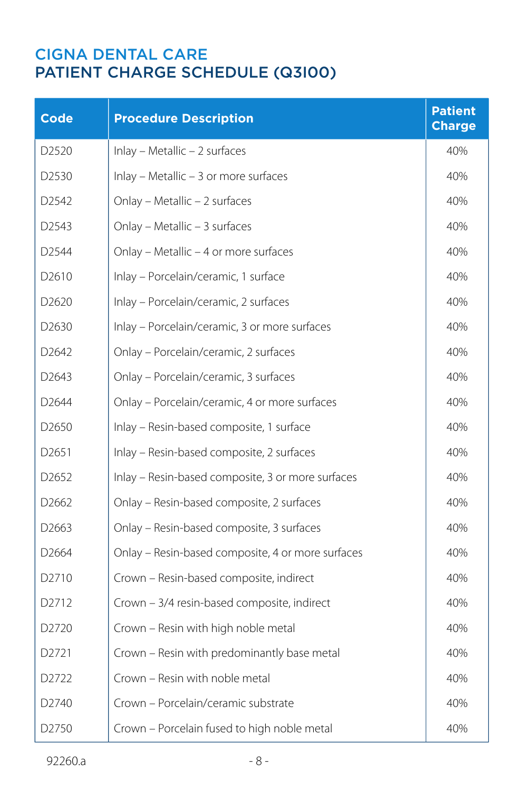| <b>Code</b>       | <b>Procedure Description</b>                      | <b>Patient</b><br><b>Charge</b> |
|-------------------|---------------------------------------------------|---------------------------------|
| D2520             | Inlay - Metallic - 2 surfaces                     | 40%                             |
| D <sub>2530</sub> | Inlay - Metallic - 3 or more surfaces             | 40%                             |
| D <sub>2542</sub> | Onlay - Metallic - 2 surfaces                     | 40%                             |
| D2543             | Onlay - Metallic - 3 surfaces                     | 40%                             |
| D <sub>2544</sub> | Onlay - Metallic - 4 or more surfaces             | 40%                             |
| D <sub>2610</sub> | Inlay - Porcelain/ceramic, 1 surface              | 40%                             |
| D <sub>2620</sub> | Inlay - Porcelain/ceramic, 2 surfaces             | 40%                             |
| D <sub>2630</sub> | Inlay - Porcelain/ceramic, 3 or more surfaces     | 40%                             |
| D2642             | Onlay - Porcelain/ceramic, 2 surfaces             | 40%                             |
| D <sub>2643</sub> | Onlay - Porcelain/ceramic, 3 surfaces             | 40%                             |
| D <sub>2644</sub> | Onlay - Porcelain/ceramic, 4 or more surfaces     | 40%                             |
| D <sub>2650</sub> | Inlay - Resin-based composite, 1 surface          | 40%                             |
| D <sub>2651</sub> | Inlay - Resin-based composite, 2 surfaces         | 40%                             |
| D <sub>2652</sub> | Inlay - Resin-based composite, 3 or more surfaces | 40%                             |
| D <sub>2662</sub> | Onlay - Resin-based composite, 2 surfaces         | 40%                             |
| D <sub>2663</sub> | Onlay - Resin-based composite, 3 surfaces         | 40%                             |
| D <sub>2664</sub> | Onlay - Resin-based composite, 4 or more surfaces | 40%                             |
| D2710             | Crown - Resin-based composite, indirect           | 40%                             |
| D2712             | Crown - 3/4 resin-based composite, indirect       | 40%                             |
| D <sub>2720</sub> | Crown - Resin with high noble metal               | 40%                             |
| D2721             | Crown - Resin with predominantly base metal       | 40%                             |
| D <sub>2722</sub> | Crown – Resin with noble metal                    | 40%                             |
| D <sub>2740</sub> | Crown - Porcelain/ceramic substrate               | 40%                             |
| D2750             | Crown - Porcelain fused to high noble metal       | 40%                             |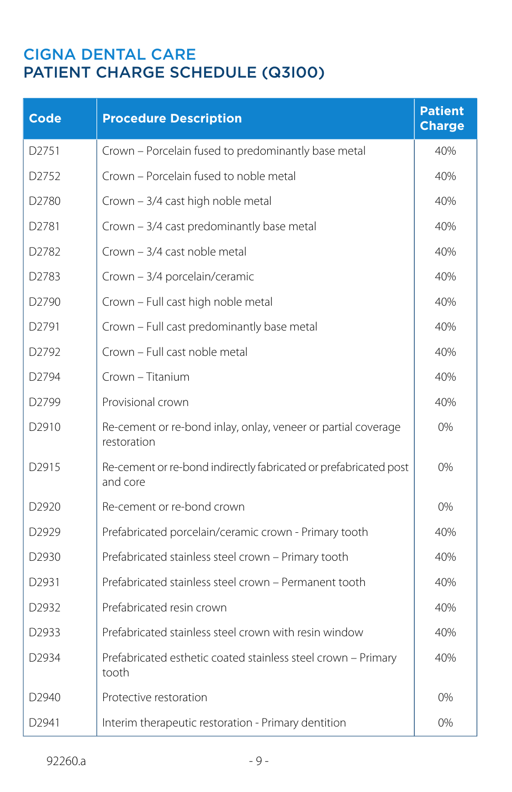| <b>Code</b>       | <b>Procedure Description</b>                                                 | <b>Patient</b><br><b>Charge</b> |
|-------------------|------------------------------------------------------------------------------|---------------------------------|
| D2751             | Crown - Porcelain fused to predominantly base metal                          | 40%                             |
| D2752             | Crown - Porcelain fused to noble metal                                       | 40%                             |
| D2780             | Crown - 3/4 cast high noble metal                                            | 40%                             |
| D2781             | Crown - 3/4 cast predominantly base metal                                    | 40%                             |
| D2782             | Crown - 3/4 cast noble metal                                                 | 40%                             |
| D2783             | Crown - 3/4 porcelain/ceramic                                                | 40%                             |
| D <sub>2790</sub> | Crown - Full cast high noble metal                                           | 40%                             |
| D2791             | Crown - Full cast predominantly base metal                                   | 40%                             |
| D2792             | Crown - Full cast noble metal                                                | 40%                             |
| D2794             | Crown - Titanium                                                             | 40%                             |
| D2799             | Provisional crown                                                            | 40%                             |
| D2910             | Re-cement or re-bond inlay, onlay, veneer or partial coverage<br>restoration | 0%                              |
| D <sub>2915</sub> | Re-cement or re-bond indirectly fabricated or prefabricated post<br>and core | 0%                              |
| D2920             | Re-cement or re-bond crown                                                   | 0%                              |
| D <sub>2929</sub> | Prefabricated porcelain/ceramic crown - Primary tooth                        | 40%                             |
| D2930             | Prefabricated stainless steel crown - Primary tooth                          | 40%                             |
| D <sub>2931</sub> | Prefabricated stainless steel crown – Permanent tooth                        | 40%                             |
| D2932             | Prefabricated resin crown                                                    | 40%                             |
| D2933             | Prefabricated stainless steel crown with resin window                        | 40%                             |
| D2934             | Prefabricated esthetic coated stainless steel crown - Primary<br>tooth       | 40%                             |
| D <sub>2940</sub> | Protective restoration                                                       | 0%                              |
| D <sub>2941</sub> | Interim therapeutic restoration - Primary dentition                          | 0%                              |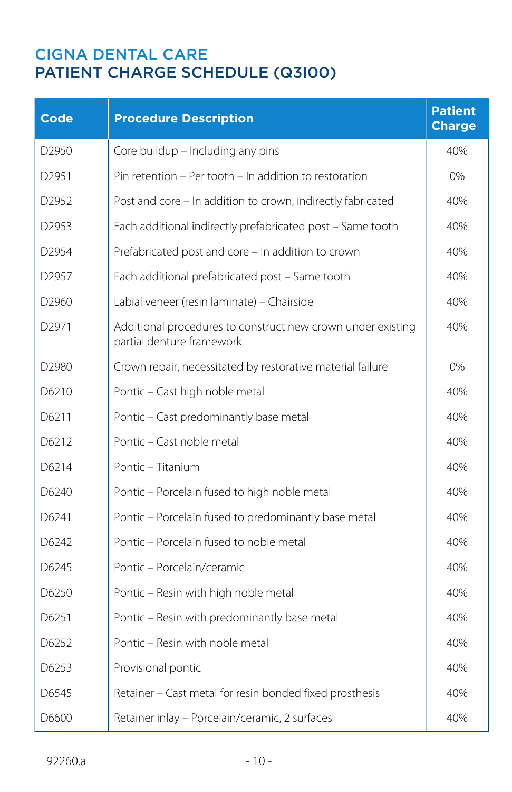| <b>Code</b>       | <b>Procedure Description</b>                                                             | <b>Patient</b><br><b>Charge</b> |
|-------------------|------------------------------------------------------------------------------------------|---------------------------------|
| D <sub>2950</sub> | Core buildup - Including any pins                                                        | 40%                             |
| D2951             | Pin retention - Per tooth - In addition to restoration                                   | 0%                              |
| D2952             | Post and core – In addition to crown, indirectly fabricated                              | 40%                             |
| D2953             | Each additional indirectly prefabricated post - Same tooth                               | 40%                             |
| D2954             | Prefabricated post and core – In addition to crown                                       | 40%                             |
| D2957             | Each additional prefabricated post - Same tooth                                          | 40%                             |
| D2960             | Labial veneer (resin laminate) - Chairside                                               | 40%                             |
| D2971             | Additional procedures to construct new crown under existing<br>partial denture framework | 40%                             |
| D2980             | Crown repair, necessitated by restorative material failure                               | $0\%$                           |
| D6210             | Pontic - Cast high noble metal                                                           | 40%                             |
| D6211             | Pontic - Cast predominantly base metal                                                   | 40%                             |
| D6212             | Pontic - Cast noble metal                                                                | 40%                             |
| D6214             | Pontic - Titanium                                                                        | 40%                             |
| D6240             | Pontic - Porcelain fused to high noble metal                                             | 40%                             |
| D6241             | Pontic - Porcelain fused to predominantly base metal                                     | 40%                             |
| D6242             | Pontic - Porcelain fused to noble metal                                                  | 40%                             |
| D6245             | Pontic – Porcelain/ceramic                                                               | 40%                             |
| D6250             | Pontic - Resin with high noble metal                                                     | 40%                             |
| D6251             | Pontic - Resin with predominantly base metal                                             | 40%                             |
| D6252             | Pontic – Resin with noble metal                                                          | 40%                             |
| D6253             | Provisional pontic                                                                       | 40%                             |
| D6545             | Retainer - Cast metal for resin bonded fixed prosthesis                                  | 40%                             |
| D6600             | Retainer inlay - Porcelain/ceramic, 2 surfaces                                           | 40%                             |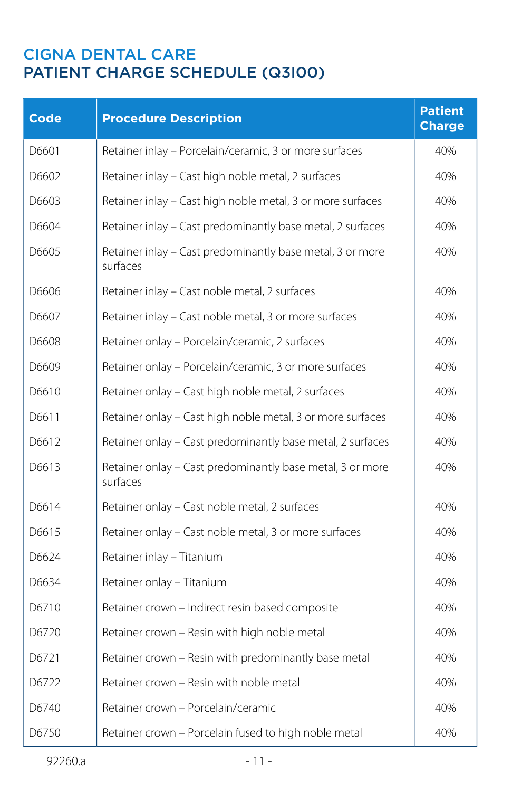| <b>Code</b> | <b>Procedure Description</b>                                          | <b>Patient</b><br><b>Charge</b> |
|-------------|-----------------------------------------------------------------------|---------------------------------|
| D6601       | Retainer inlay - Porcelain/ceramic, 3 or more surfaces                | 40%                             |
| D6602       | Retainer inlay - Cast high noble metal, 2 surfaces                    | 40%                             |
| D6603       | Retainer inlay - Cast high noble metal, 3 or more surfaces            | 40%                             |
| D6604       | Retainer inlay - Cast predominantly base metal, 2 surfaces            | 40%                             |
| D6605       | Retainer inlay - Cast predominantly base metal, 3 or more<br>surfaces | 40%                             |
| D6606       | Retainer inlay - Cast noble metal, 2 surfaces                         | 40%                             |
| D6607       | Retainer inlay - Cast noble metal, 3 or more surfaces                 | 40%                             |
| D6608       | Retainer onlay - Porcelain/ceramic, 2 surfaces                        | 40%                             |
| D6609       | Retainer onlay - Porcelain/ceramic, 3 or more surfaces                | 40%                             |
| D6610       | Retainer onlay - Cast high noble metal, 2 surfaces                    | 40%                             |
| D6611       | Retainer onlay - Cast high noble metal, 3 or more surfaces            | 40%                             |
| D6612       | Retainer onlay - Cast predominantly base metal, 2 surfaces            | 40%                             |
| D6613       | Retainer onlay - Cast predominantly base metal, 3 or more<br>surfaces | 40%                             |
| D6614       | Retainer onlay - Cast noble metal, 2 surfaces                         | 40%                             |
| D6615       | Retainer onlay - Cast noble metal, 3 or more surfaces                 | 40%                             |
| D6624       | Retainer inlay - Titanium                                             | 40%                             |
| D6634       | Retainer onlay - Titanium                                             | 40%                             |
| D6710       | Retainer crown - Indirect resin based composite                       | 40%                             |
| D6720       | Retainer crown - Resin with high noble metal                          | 40%                             |
| D6721       | Retainer crown - Resin with predominantly base metal                  | 40%                             |
| D6722       | Retainer crown – Resin with noble metal                               | 40%                             |
| D6740       | Retainer crown - Porcelain/ceramic                                    | 40%                             |
| D6750       | Retainer crown - Porcelain fused to high noble metal                  | 40%                             |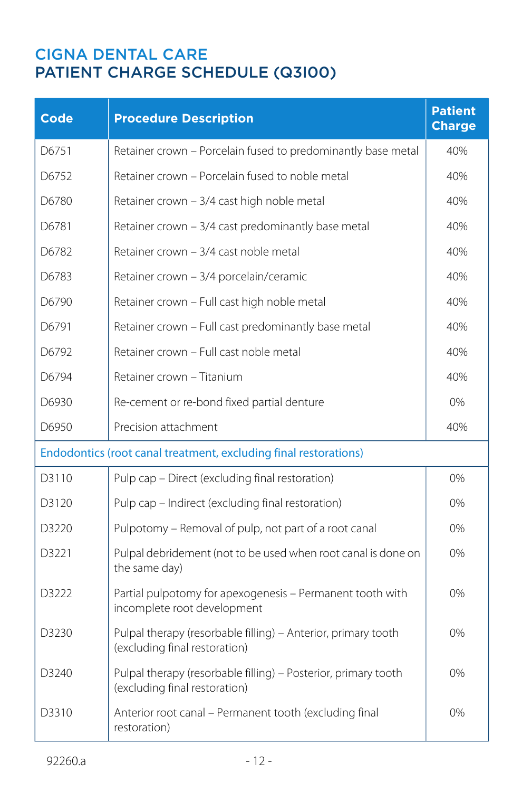| <b>Code</b>                                                      | <b>Procedure Description</b>                                                                    | <b>Patient</b><br><b>Charge</b> |
|------------------------------------------------------------------|-------------------------------------------------------------------------------------------------|---------------------------------|
| D6751                                                            | Retainer crown - Porcelain fused to predominantly base metal                                    | 40%                             |
| D6752                                                            | Retainer crown – Porcelain fused to noble metal                                                 | 40%                             |
| D6780                                                            | Retainer crown - 3/4 cast high noble metal                                                      | 40%                             |
| D6781                                                            | Retainer crown - 3/4 cast predominantly base metal                                              | 40%                             |
| D6782                                                            | Retainer crown – 3/4 cast noble metal                                                           | 40%                             |
| D6783                                                            | Retainer crown - 3/4 porcelain/ceramic                                                          | 40%                             |
| D6790                                                            | Retainer crown - Full cast high noble metal                                                     | 40%                             |
| D6791                                                            | Retainer crown - Full cast predominantly base metal                                             | 40%                             |
| D6792                                                            | Retainer crown - Full cast noble metal                                                          | 40%                             |
| D6794                                                            | Retainer crown - Titanium                                                                       | 40%                             |
| D6930                                                            | Re-cement or re-bond fixed partial denture                                                      | $0\%$                           |
| D6950                                                            | Precision attachment                                                                            | 40%                             |
| Endodontics (root canal treatment, excluding final restorations) |                                                                                                 |                                 |
| D3110                                                            | Pulp cap - Direct (excluding final restoration)                                                 | $0\%$                           |
| D3120                                                            | Pulp cap - Indirect (excluding final restoration)                                               | 0%                              |
| D3220                                                            | Pulpotomy - Removal of pulp, not part of a root canal                                           | 0%                              |
| D3221                                                            | Pulpal debridement (not to be used when root canal is done on<br>the same day)                  | 0%                              |
| D3222                                                            | Partial pulpotomy for apexogenesis - Permanent tooth with<br>incomplete root development        | 0%                              |
| D3230                                                            | Pulpal therapy (resorbable filling) - Anterior, primary tooth<br>(excluding final restoration)  | 0%                              |
| D3240                                                            | Pulpal therapy (resorbable filling) - Posterior, primary tooth<br>(excluding final restoration) | 0%                              |
| D3310                                                            | Anterior root canal - Permanent tooth (excluding final<br>restoration)                          | 0%                              |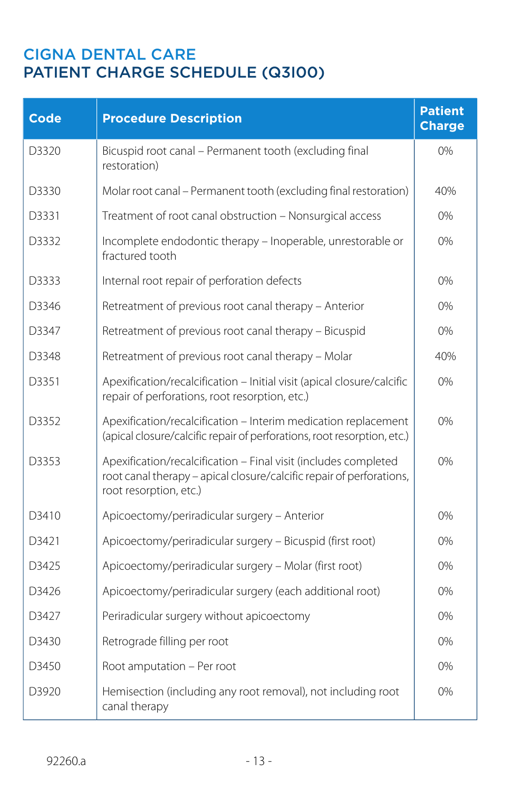| Code              | <b>Procedure Description</b>                                                                                                                                      | <b>Patient</b><br><b>Charge</b> |
|-------------------|-------------------------------------------------------------------------------------------------------------------------------------------------------------------|---------------------------------|
| D3320             | Bicuspid root canal - Permanent tooth (excluding final<br>restoration)                                                                                            | $0\%$                           |
| D3330             | Molar root canal - Permanent tooth (excluding final restoration)                                                                                                  | 40%                             |
| D3331             | Treatment of root canal obstruction - Nonsurgical access                                                                                                          | 0%                              |
| D3332             | Incomplete endodontic therapy - Inoperable, unrestorable or<br>fractured tooth                                                                                    | 0%                              |
| D3333             | Internal root repair of perforation defects                                                                                                                       | $0\%$                           |
| D3346             | Retreatment of previous root canal therapy - Anterior                                                                                                             | 0%                              |
| D3347             | Retreatment of previous root canal therapy - Bicuspid                                                                                                             | $0\%$                           |
| D3348             | Retreatment of previous root canal therapy - Molar                                                                                                                | 40%                             |
| D3351             | Apexification/recalcification - Initial visit (apical closure/calcific<br>repair of perforations, root resorption, etc.)                                          | $0\%$                           |
| D3352             | Apexification/recalcification - Interim medication replacement<br>(apical closure/calcific repair of perforations, root resorption, etc.)                         | 0%                              |
| D3353             | Apexification/recalcification - Final visit (includes completed<br>root canal therapy - apical closure/calcific repair of perforations,<br>root resorption, etc.) | 0%                              |
| D3410             | Apicoectomy/periradicular surgery - Anterior                                                                                                                      | 0%                              |
| D3421             | Apicoectomy/periradicular surgery - Bicuspid (first root)                                                                                                         | 0%                              |
| D3425             | Apicoectomy/periradicular surgery - Molar (first root)                                                                                                            | 0%                              |
| D3426             | Apicoectomy/periradicular surgery (each additional root)                                                                                                          | 0%                              |
| D3427             | Periradicular surgery without apicoectomy                                                                                                                         | 0%                              |
| D3430             | Retrograde filling per root                                                                                                                                       | 0%                              |
| D <sub>3450</sub> | Root amputation - Per root                                                                                                                                        | 0%                              |
| D3920             | Hemisection (including any root removal), not including root<br>canal therapy                                                                                     | 0%                              |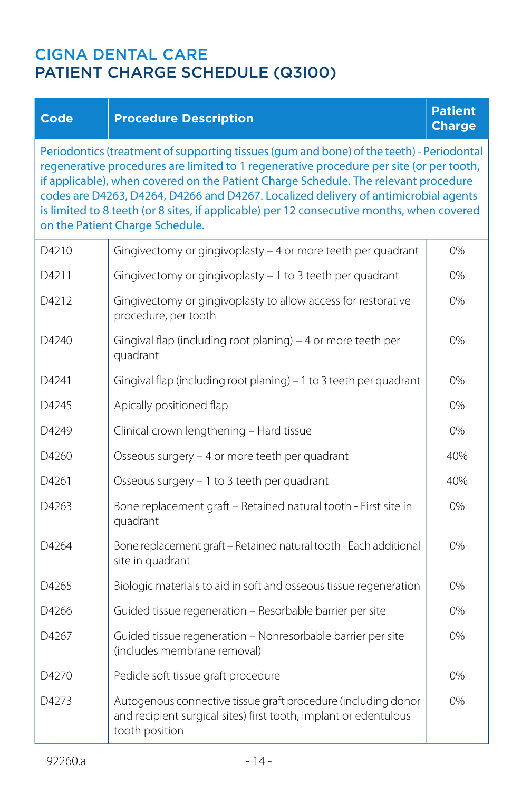#### **Code Procedure Description**

#### **Patient Charge**

Periodontics (treatment of supporting tissues (gum and bone) of the teeth) - Periodontal regenerative procedures are limited to 1 regenerative procedure per site (or per tooth, if applicable), when covered on the Patient Charge Schedule. The relevant procedure codes are D4263, D4264, D4266 and D4267. Localized delivery of antimicrobial agents is limited to 8 teeth (or 8 sites, if applicable) per 12 consecutive months, when covered on the Patient Charge Schedule.

| D4210 | Gingivectomy or gingivoplasty - 4 or more teeth per quadrant                                                                                        | 0%  |
|-------|-----------------------------------------------------------------------------------------------------------------------------------------------------|-----|
| D4211 | Gingivectomy or gingivoplasty - 1 to 3 teeth per quadrant                                                                                           | 0%  |
| D4212 | Gingivectomy or gingivoplasty to allow access for restorative<br>procedure, per tooth                                                               | 0%  |
| D4240 | Gingival flap (including root planing) - 4 or more teeth per<br>quadrant                                                                            | 0%  |
| D4241 | Gingival flap (including root planing) – 1 to 3 teeth per quadrant                                                                                  | 0%  |
| D4245 | Apically positioned flap                                                                                                                            | 0%  |
| D4249 | Clinical crown lengthening - Hard tissue                                                                                                            | 0%  |
| D4260 | Osseous surgery - 4 or more teeth per quadrant                                                                                                      | 40% |
| D4261 | Osseous surgery - 1 to 3 teeth per quadrant                                                                                                         | 40% |
| D4263 | Bone replacement graft - Retained natural tooth - First site in<br>quadrant                                                                         | 0%  |
| D4264 | Bone replacement graft - Retained natural tooth - Each additional<br>site in quadrant                                                               | 0%  |
| D4265 | Biologic materials to aid in soft and osseous tissue regeneration                                                                                   | 0%  |
| D4266 | Guided tissue regeneration - Resorbable barrier per site                                                                                            | 0%  |
| D4267 | Guided tissue regeneration - Nonresorbable barrier per site<br>(includes membrane removal)                                                          | 0%  |
| D4270 | Pedicle soft tissue graft procedure                                                                                                                 | 0%  |
| D4273 | Autogenous connective tissue graft procedure (including donor<br>and recipient surgical sites) first tooth, implant or edentulous<br>tooth position | 0%  |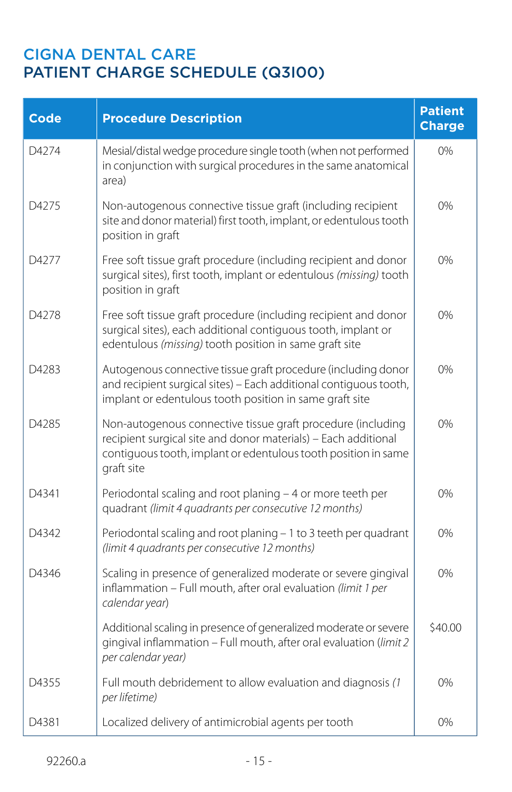| <b>Code</b> | <b>Procedure Description</b>                                                                                                                                                                                  | <b>Patient</b><br><b>Charge</b> |
|-------------|---------------------------------------------------------------------------------------------------------------------------------------------------------------------------------------------------------------|---------------------------------|
| D4274       | Mesial/distal wedge procedure single tooth (when not performed<br>in conjunction with surgical procedures in the same anatomical<br>area)                                                                     | 0%                              |
| D4275       | Non-autogenous connective tissue graft (including recipient<br>site and donor material) first tooth, implant, or edentulous tooth<br>position in graft                                                        | 0%                              |
| D4277       | Free soft tissue graft procedure (including recipient and donor<br>surgical sites), first tooth, implant or edentulous (missing) tooth<br>position in graft                                                   | 0%                              |
| D4278       | Free soft tissue graft procedure (including recipient and donor<br>surgical sites), each additional contiguous tooth, implant or<br>edentulous (missing) tooth position in same graft site                    | 0%                              |
| D4283       | Autogenous connective tissue graft procedure (including donor<br>and recipient surgical sites) - Each additional contiguous tooth,<br>implant or edentulous tooth position in same graft site                 | 0%                              |
| D4285       | Non-autogenous connective tissue graft procedure (including<br>recipient surgical site and donor materials) - Each additional<br>contiguous tooth, implant or edentulous tooth position in same<br>graft site | 0%                              |
| D4341       | Periodontal scaling and root planing - 4 or more teeth per<br>quadrant (limit 4 quadrants per consecutive 12 months)                                                                                          | 0%                              |
| D4342       | Periodontal scaling and root planing - 1 to 3 teeth per quadrant<br>(limit 4 quadrants per consecutive 12 months)                                                                                             | 0%                              |
| D4346       | Scaling in presence of generalized moderate or severe gingival<br>inflammation - Full mouth, after oral evaluation (limit 1 per<br>calendar year)                                                             | 0%                              |
|             | Additional scaling in presence of generalized moderate or severe<br>gingival inflammation - Full mouth, after oral evaluation (limit 2<br>per calendar year)                                                  | \$40.00                         |
| D4355       | Full mouth debridement to allow evaluation and diagnosis (1<br>per lifetime)                                                                                                                                  | 0%                              |
| D4381       | Localized delivery of antimicrobial agents per tooth                                                                                                                                                          | 0%                              |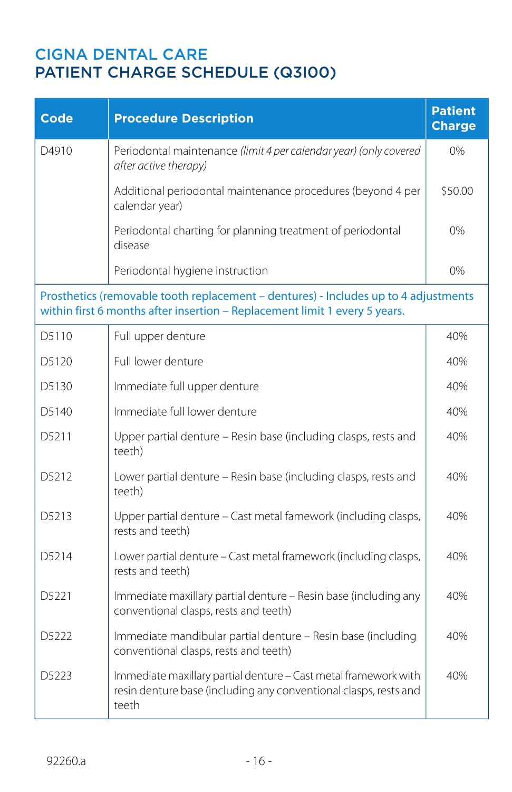| <b>Code</b>       | <b>Procedure Description</b>                                                                                                                                      | <b>Patient</b><br><b>Charge</b> |
|-------------------|-------------------------------------------------------------------------------------------------------------------------------------------------------------------|---------------------------------|
| D4910             | Periodontal maintenance (limit 4 per calendar year) (only covered<br>after active therapy)                                                                        | $0\%$                           |
|                   | Additional periodontal maintenance procedures (beyond 4 per<br>calendar year)                                                                                     | \$50.00                         |
|                   | Periodontal charting for planning treatment of periodontal<br>disease                                                                                             | 0%                              |
|                   | Periodontal hygiene instruction                                                                                                                                   | 0%                              |
|                   | Prosthetics (removable tooth replacement - dentures) - Includes up to 4 adjustments<br>within first 6 months after insertion - Replacement limit 1 every 5 years. |                                 |
| D5110             | Full upper denture                                                                                                                                                | 40%                             |
| D5120             | Full lower denture                                                                                                                                                | 40%                             |
| D5130             | Immediate full upper denture                                                                                                                                      | 40%                             |
| D5140             | Immediate full lower denture                                                                                                                                      | 40%                             |
| D <sub>5211</sub> | Upper partial denture - Resin base (including clasps, rests and<br>teeth)                                                                                         | 40%                             |
| D <sub>5212</sub> | Lower partial denture - Resin base (including clasps, rests and<br>teeth)                                                                                         | 40%                             |
| D5213             | Upper partial denture - Cast metal famework (including clasps,<br>rests and teeth)                                                                                | 40%                             |
| D <sub>5214</sub> | Lower partial denture - Cast metal framework (including clasps,<br>rests and teeth)                                                                               | 40%                             |
| D <sub>5221</sub> | Immediate maxillary partial denture - Resin base (including any<br>conventional clasps, rests and teeth)                                                          | 40%                             |
| D5222             | Immediate mandibular partial denture - Resin base (including<br>conventional clasps, rests and teeth)                                                             | 40%                             |
| D5223             | Immediate maxillary partial denture - Cast metal framework with<br>resin denture base (including any conventional clasps, rests and<br>teeth                      | 40%                             |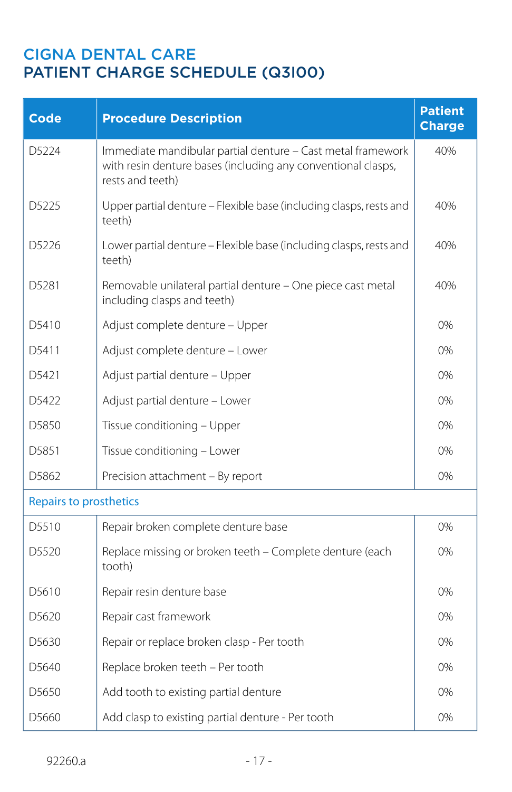| <b>Code</b>                   | <b>Procedure Description</b>                                                                                                                    | <b>Patient</b><br><b>Charge</b> |
|-------------------------------|-------------------------------------------------------------------------------------------------------------------------------------------------|---------------------------------|
| D5224                         | Immediate mandibular partial denture - Cast metal framework<br>with resin denture bases (including any conventional clasps,<br>rests and teeth) | 40%                             |
| D5225                         | Upper partial denture - Flexible base (including clasps, rests and<br>teeth)                                                                    | 40%                             |
| D5226                         | Lower partial denture - Flexible base (including clasps, rests and<br>teeth)                                                                    | 40%                             |
| D5281                         | Removable unilateral partial denture - One piece cast metal<br>including clasps and teeth)                                                      | 40%                             |
| D <sub>5410</sub>             | Adjust complete denture - Upper                                                                                                                 | 0%                              |
| D5411                         | Adjust complete denture - Lower                                                                                                                 | 0%                              |
| D5421                         | Adjust partial denture - Upper                                                                                                                  | 0%                              |
| D5422                         | Adjust partial denture - Lower                                                                                                                  | 0%                              |
| D <sub>5850</sub>             | Tissue conditioning - Upper                                                                                                                     | 0%                              |
| D5851                         | Tissue conditioning - Lower                                                                                                                     | 0%                              |
| D5862                         | Precision attachment - By report                                                                                                                | 0%                              |
| <b>Repairs to prosthetics</b> |                                                                                                                                                 |                                 |
| D5510                         | Repair broken complete denture base                                                                                                             | 0%                              |
| D5520                         | Replace missing or broken teeth - Complete denture (each<br>tooth)                                                                              | 0%                              |
| D5610                         | Repair resin denture base                                                                                                                       | 0%                              |
| D5620                         | Repair cast framework                                                                                                                           | 0%                              |
| D5630                         | Repair or replace broken clasp - Per tooth                                                                                                      | 0%                              |
| D5640                         | Replace broken teeth - Per tooth                                                                                                                | 0%                              |
| D5650                         | Add tooth to existing partial denture                                                                                                           | 0%                              |
| D5660                         | Add clasp to existing partial denture - Per tooth                                                                                               | 0%                              |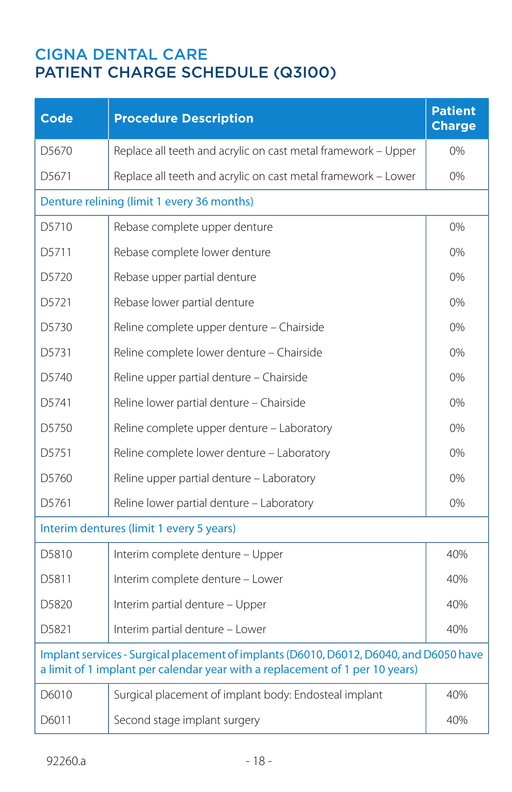| <b>Code</b>                                                                                                                                                            | <b>Procedure Description</b>                                  | <b>Patient</b><br><b>Charge</b> |
|------------------------------------------------------------------------------------------------------------------------------------------------------------------------|---------------------------------------------------------------|---------------------------------|
| D5670                                                                                                                                                                  | Replace all teeth and acrylic on cast metal framework - Upper | 0%                              |
| D <sub>5671</sub>                                                                                                                                                      | Replace all teeth and acrylic on cast metal framework - Lower | 0%                              |
|                                                                                                                                                                        | Denture relining (limit 1 every 36 months)                    |                                 |
| D5710                                                                                                                                                                  | Rebase complete upper denture                                 | 0%                              |
| D <sub>5711</sub>                                                                                                                                                      | Rebase complete lower denture                                 | 0%                              |
| D5720                                                                                                                                                                  | Rebase upper partial denture                                  | 0%                              |
| D <sub>5721</sub>                                                                                                                                                      | Rebase lower partial denture                                  | 0%                              |
| D5730                                                                                                                                                                  | Reline complete upper denture - Chairside                     | 0%                              |
| D5731                                                                                                                                                                  | Reline complete lower denture - Chairside                     | $0\%$                           |
| D5740                                                                                                                                                                  | Reline upper partial denture - Chairside                      | 0%                              |
| D5741                                                                                                                                                                  | Reline lower partial denture - Chairside                      | 0%                              |
| D5750                                                                                                                                                                  | Reline complete upper denture - Laboratory                    | 0%                              |
| D <sub>5751</sub>                                                                                                                                                      | Reline complete lower denture - Laboratory                    | $0\%$                           |
| D5760                                                                                                                                                                  | Reline upper partial denture - Laboratory                     | 0%                              |
| D5761                                                                                                                                                                  | Reline lower partial denture - Laboratory                     | 0%                              |
|                                                                                                                                                                        | Interim dentures (limit 1 every 5 years)                      |                                 |
| D5810                                                                                                                                                                  | Interim complete denture - Upper                              | 40%                             |
| D <sub>5811</sub>                                                                                                                                                      | Interim complete denture - Lower                              | 40%                             |
| D5820                                                                                                                                                                  | Interim partial denture - Upper                               | 40%                             |
| D <sub>5821</sub>                                                                                                                                                      | Interim partial denture - Lower                               | 40%                             |
| Implant services - Surgical placement of implants (D6010, D6012, D6040, and D6050 have<br>a limit of 1 implant per calendar year with a replacement of 1 per 10 years) |                                                               |                                 |
| D6010                                                                                                                                                                  | Surgical placement of implant body: Endosteal implant         | 40%                             |
| D6011                                                                                                                                                                  | Second stage implant surgery                                  | 40%                             |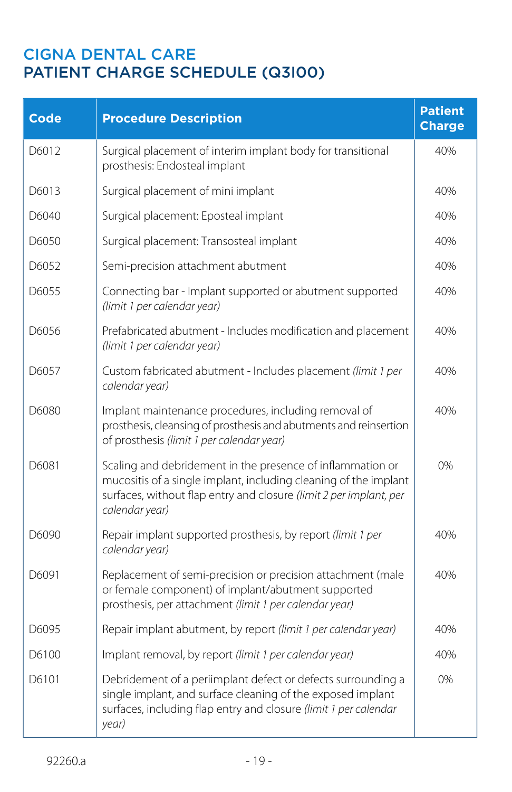| <b>Code</b> | <b>Procedure Description</b>                                                                                                                                                                                           | <b>Patient</b><br><b>Charge</b> |
|-------------|------------------------------------------------------------------------------------------------------------------------------------------------------------------------------------------------------------------------|---------------------------------|
| D6012       | Surgical placement of interim implant body for transitional<br>prosthesis: Endosteal implant                                                                                                                           | 40%                             |
| D6013       | Surgical placement of mini implant                                                                                                                                                                                     | 40%                             |
| D6040       | Surgical placement: Eposteal implant                                                                                                                                                                                   | 40%                             |
| D6050       | Surgical placement: Transosteal implant                                                                                                                                                                                | 40%                             |
| D6052       | Semi-precision attachment abutment                                                                                                                                                                                     | 40%                             |
| D6055       | Connecting bar - Implant supported or abutment supported<br>(limit 1 per calendar year)                                                                                                                                | 40%                             |
| D6056       | Prefabricated abutment - Includes modification and placement<br>(limit 1 per calendar year)                                                                                                                            | 40%                             |
| D6057       | Custom fabricated abutment - Includes placement (limit 1 per<br>calendar year)                                                                                                                                         | 40%                             |
| D6080       | Implant maintenance procedures, including removal of<br>prosthesis, cleansing of prosthesis and abutments and reinsertion<br>of prosthesis (limit 1 per calendar year)                                                 | 40%                             |
| D6081       | Scaling and debridement in the presence of inflammation or<br>mucositis of a single implant, including cleaning of the implant<br>surfaces, without flap entry and closure (limit 2 per implant, per<br>calendar year) | 0%                              |
| D6090       | Repair implant supported prosthesis, by report (limit 1 per<br>calendar year)                                                                                                                                          | 40%                             |
| D6091       | Replacement of semi-precision or precision attachment (male<br>or female component) of implant/abutment supported<br>prosthesis, per attachment (limit 1 per calendar year)                                            | 40%                             |
| D6095       | Repair implant abutment, by report (limit 1 per calendar year)                                                                                                                                                         | 40%                             |
| D6100       | Implant removal, by report (limit 1 per calendar year)                                                                                                                                                                 | 40%                             |
| D6101       | Debridement of a periimplant defect or defects surrounding a<br>single implant, and surface cleaning of the exposed implant<br>surfaces, including flap entry and closure (limit 1 per calendar<br>year)               | 0%                              |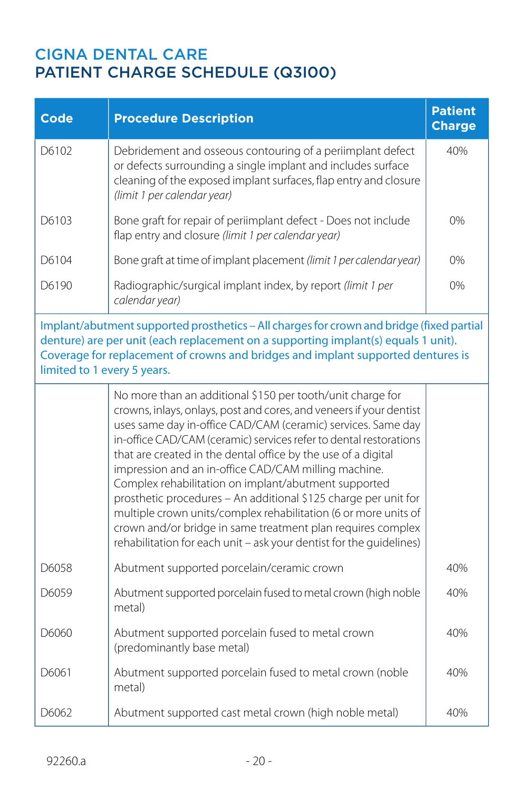| <b>Code</b>                                                                                                                                                                                                                                                                                       | <b>Procedure Description</b>                                                                                                                                                                                                                                                                                                                                                                                                                                                                                                                                                                                                                                                                                                        | <b>Patient</b><br><b>Charge</b> |
|---------------------------------------------------------------------------------------------------------------------------------------------------------------------------------------------------------------------------------------------------------------------------------------------------|-------------------------------------------------------------------------------------------------------------------------------------------------------------------------------------------------------------------------------------------------------------------------------------------------------------------------------------------------------------------------------------------------------------------------------------------------------------------------------------------------------------------------------------------------------------------------------------------------------------------------------------------------------------------------------------------------------------------------------------|---------------------------------|
| D6102                                                                                                                                                                                                                                                                                             | Debridement and osseous contouring of a periimplant defect<br>or defects surrounding a single implant and includes surface<br>cleaning of the exposed implant surfaces, flap entry and closure<br>(limit 1 per calendar year)                                                                                                                                                                                                                                                                                                                                                                                                                                                                                                       | 40%                             |
| D6103                                                                                                                                                                                                                                                                                             | Bone graft for repair of periimplant defect - Does not include<br>flap entry and closure (limit 1 per calendar year)                                                                                                                                                                                                                                                                                                                                                                                                                                                                                                                                                                                                                | 0%                              |
| D6104                                                                                                                                                                                                                                                                                             | Bone graft at time of implant placement (limit 1 per calendar year)                                                                                                                                                                                                                                                                                                                                                                                                                                                                                                                                                                                                                                                                 | 0%                              |
| D6190                                                                                                                                                                                                                                                                                             | Radiographic/surgical implant index, by report (limit 1 per<br>calendar year)                                                                                                                                                                                                                                                                                                                                                                                                                                                                                                                                                                                                                                                       | 0%                              |
| Implant/abutment supported prosthetics - All charges for crown and bridge (fixed partial<br>denture) are per unit (each replacement on a supporting implant(s) equals 1 unit).<br>Coverage for replacement of crowns and bridges and implant supported dentures is<br>limited to 1 every 5 years. |                                                                                                                                                                                                                                                                                                                                                                                                                                                                                                                                                                                                                                                                                                                                     |                                 |
|                                                                                                                                                                                                                                                                                                   | No more than an additional \$150 per tooth/unit charge for<br>crowns, inlays, onlays, post and cores, and veneers if your dentist<br>uses same day in-office CAD/CAM (ceramic) services. Same day<br>in-office CAD/CAM (ceramic) services refer to dental restorations<br>that are created in the dental office by the use of a digital<br>impression and an in-office CAD/CAM milling machine.<br>Complex rehabilitation on implant/abutment supported<br>prosthetic procedures - An additional \$125 charge per unit for<br>multiple crown units/complex rehabilitation (6 or more units of<br>crown and/or bridge in same treatment plan requires complex<br>rehabilitation for each unit - ask your dentist for the quidelines) |                                 |
| D6058                                                                                                                                                                                                                                                                                             | Abutment supported porcelain/ceramic crown                                                                                                                                                                                                                                                                                                                                                                                                                                                                                                                                                                                                                                                                                          | 40%                             |
| D6059                                                                                                                                                                                                                                                                                             | Abutment supported porcelain fused to metal crown (high noble<br>metal)                                                                                                                                                                                                                                                                                                                                                                                                                                                                                                                                                                                                                                                             | 40%                             |
| D6060                                                                                                                                                                                                                                                                                             | Abutment supported porcelain fused to metal crown<br>(predominantly base metal)                                                                                                                                                                                                                                                                                                                                                                                                                                                                                                                                                                                                                                                     | 40%                             |
| D6061                                                                                                                                                                                                                                                                                             | Abutment supported porcelain fused to metal crown (noble<br>metal)                                                                                                                                                                                                                                                                                                                                                                                                                                                                                                                                                                                                                                                                  | 40%                             |
| D6062                                                                                                                                                                                                                                                                                             | Abutment supported cast metal crown (high noble metal)                                                                                                                                                                                                                                                                                                                                                                                                                                                                                                                                                                                                                                                                              | 40%                             |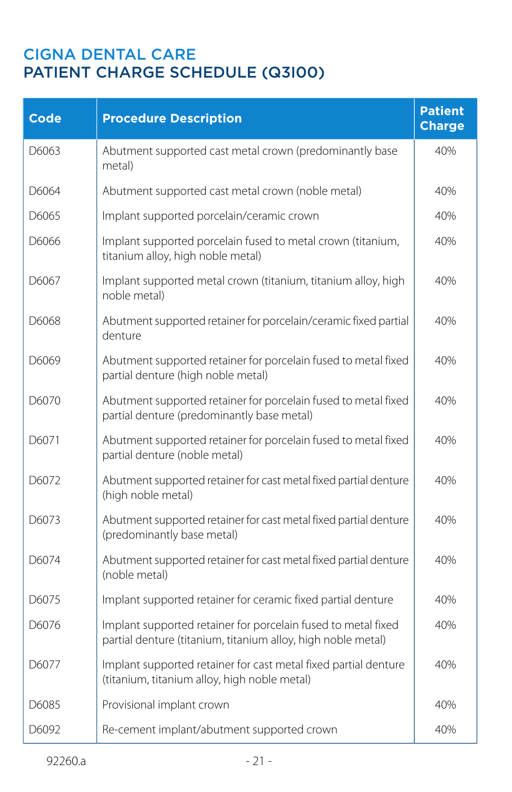| <b>Code</b> | <b>Procedure Description</b>                                                                                                  | <b>Patient</b><br><b>Charge</b> |
|-------------|-------------------------------------------------------------------------------------------------------------------------------|---------------------------------|
| D6063       | Abutment supported cast metal crown (predominantly base<br>metal)                                                             | 40%                             |
| D6064       | Abutment supported cast metal crown (noble metal)                                                                             | 40%                             |
| D6065       | Implant supported porcelain/ceramic crown                                                                                     | 40%                             |
| D6066       | Implant supported porcelain fused to metal crown (titanium,<br>titanium alloy, high noble metal)                              | 40%                             |
| D6067       | Implant supported metal crown (titanium, titanium alloy, high<br>noble metal)                                                 | 40%                             |
| D6068       | Abutment supported retainer for porcelain/ceramic fixed partial<br>denture                                                    | 40%                             |
| D6069       | Abutment supported retainer for porcelain fused to metal fixed<br>partial denture (high noble metal)                          | 40%                             |
| D6070       | Abutment supported retainer for porcelain fused to metal fixed<br>partial denture (predominantly base metal)                  | 40%                             |
| D6071       | Abutment supported retainer for porcelain fused to metal fixed<br>partial denture (noble metal)                               | 40%                             |
| D6072       | Abutment supported retainer for cast metal fixed partial denture<br>(high noble metal)                                        | 40%                             |
| D6073       | Abutment supported retainer for cast metal fixed partial denture<br>(predominantly base metal)                                | 40%                             |
| D6074       | Abutment supported retainer for cast metal fixed partial denture<br>(noble metal)                                             | 40%                             |
| D6075       | Implant supported retainer for ceramic fixed partial denture                                                                  | 40%                             |
| D6076       | Implant supported retainer for porcelain fused to metal fixed<br>partial denture (titanium, titanium alloy, high noble metal) | 40%                             |
| D6077       | Implant supported retainer for cast metal fixed partial denture<br>(titanium, titanium alloy, high noble metal)               | 40%                             |
| D6085       | Provisional implant crown                                                                                                     | 40%                             |
| D6092       | Re-cement implant/abutment supported crown                                                                                    | 40%                             |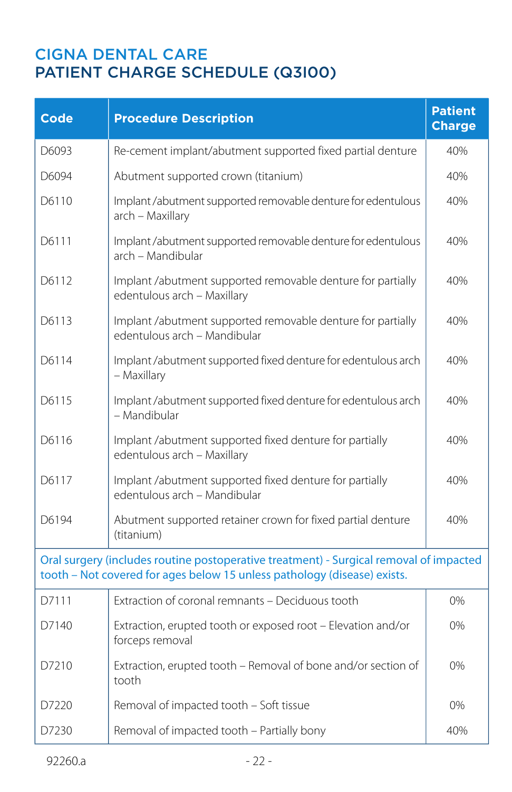| <b>Code</b> | <b>Procedure Description</b>                                                                                                                                       | <b>Patient</b><br><b>Charge</b> |
|-------------|--------------------------------------------------------------------------------------------------------------------------------------------------------------------|---------------------------------|
| D6093       | Re-cement implant/abutment supported fixed partial denture                                                                                                         | 40%                             |
| D6094       | Abutment supported crown (titanium)                                                                                                                                | 40%                             |
| D6110       | Implant /abutment supported removable denture for edentulous<br>arch - Maxillary                                                                                   | 40%                             |
| D6111       | Implant /abutment supported removable denture for edentulous<br>arch – Mandibular                                                                                  | 40%                             |
| D6112       | Implant /abutment supported removable denture for partially<br>edentulous arch - Maxillary                                                                         | 40%                             |
| D6113       | Implant /abutment supported removable denture for partially<br>edentulous arch - Mandibular                                                                        | 40%                             |
| D6114       | Implant /abutment supported fixed denture for edentulous arch<br>– Maxillary                                                                                       | 40%                             |
| D6115       | Implant /abutment supported fixed denture for edentulous arch<br>- Mandibular                                                                                      | 40%                             |
| D6116       | Implant /abutment supported fixed denture for partially<br>edentulous arch - Maxillary                                                                             | 40%                             |
| D6117       | Implant /abutment supported fixed denture for partially<br>edentulous arch - Mandibular                                                                            | 40%                             |
| D6194       | Abutment supported retainer crown for fixed partial denture<br>(titanium)                                                                                          | 40%                             |
|             | Oral surgery (includes routine postoperative treatment) - Surgical removal of impacted<br>tooth - Not covered for ages below 15 unless pathology (disease) exists. |                                 |
| D7111       | Extraction of coronal remnants - Deciduous tooth                                                                                                                   | 0%                              |
| D7140       | Extraction, erupted tooth or exposed root - Elevation and/or<br>forceps removal                                                                                    | $0\%$                           |
| D7210       | Extraction, erupted tooth - Removal of bone and/or section of<br>tooth                                                                                             | 0%                              |
| D7220       | Removal of impacted tooth - Soft tissue                                                                                                                            | 0%                              |
| D7230       | Removal of impacted tooth - Partially bony                                                                                                                         | 40%                             |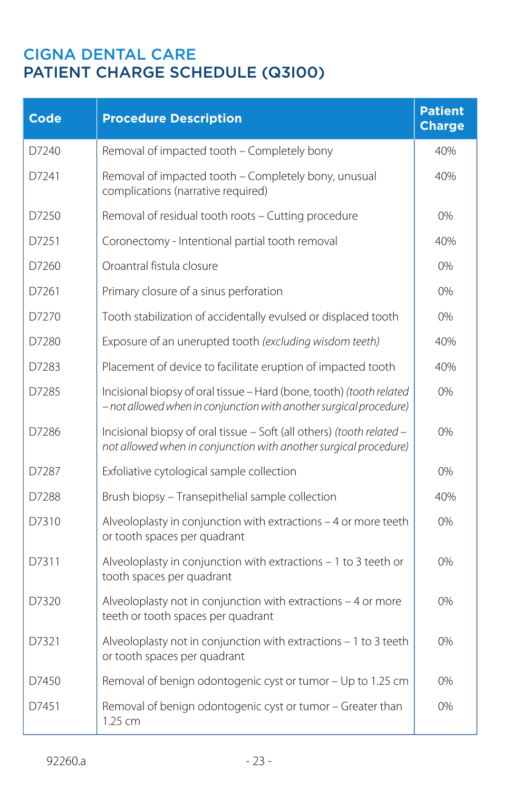| <b>Code</b> | <b>Procedure Description</b>                                                                                                               | <b>Patient</b><br><b>Charge</b> |
|-------------|--------------------------------------------------------------------------------------------------------------------------------------------|---------------------------------|
| D7240       | Removal of impacted tooth - Completely bony                                                                                                | 40%                             |
| D7241       | Removal of impacted tooth - Completely bony, unusual<br>complications (narrative required)                                                 | 40%                             |
| D7250       | Removal of residual tooth roots - Cutting procedure                                                                                        | 0%                              |
| D7251       | Coronectomy - Intentional partial tooth removal                                                                                            | 40%                             |
| D7260       | Oroantral fistula closure                                                                                                                  | 0%                              |
| D7261       | Primary closure of a sinus perforation                                                                                                     | 0%                              |
| D7270       | Tooth stabilization of accidentally evulsed or displaced tooth                                                                             | 0%                              |
| D7280       | Exposure of an unerupted tooth (excluding wisdom teeth)                                                                                    | 40%                             |
| D7283       | Placement of device to facilitate eruption of impacted tooth                                                                               | 40%                             |
| D7285       | Incisional biopsy of oral tissue - Hard (bone, tooth) (tooth related<br>- not allowed when in conjunction with another surgical procedure) | 0%                              |
| D7286       | Incisional biopsy of oral tissue - Soft (all others) (tooth related -<br>not allowed when in conjunction with another surgical procedure)  | 0%                              |
| D7287       | Exfoliative cytological sample collection                                                                                                  | 0%                              |
| D7288       | Brush biopsy - Transepithelial sample collection                                                                                           | 40%                             |
| D7310       | Alveoloplasty in conjunction with extractions - 4 or more teeth<br>or tooth spaces per quadrant                                            | 0%                              |
| D7311       | Alveoloplasty in conjunction with extractions - 1 to 3 teeth or<br>tooth spaces per quadrant                                               | 0%                              |
| D7320       | Alveoloplasty not in conjunction with extractions - 4 or more<br>teeth or tooth spaces per quadrant                                        | 0%                              |
| D7321       | Alveoloplasty not in conjunction with extractions - 1 to 3 teeth<br>or tooth spaces per quadrant                                           | 0%                              |
| D7450       | Removal of benign odontogenic cyst or tumor - Up to 1.25 cm                                                                                | 0%                              |
| D7451       | Removal of benign odontogenic cyst or tumor - Greater than<br>$1.25$ cm                                                                    | 0%                              |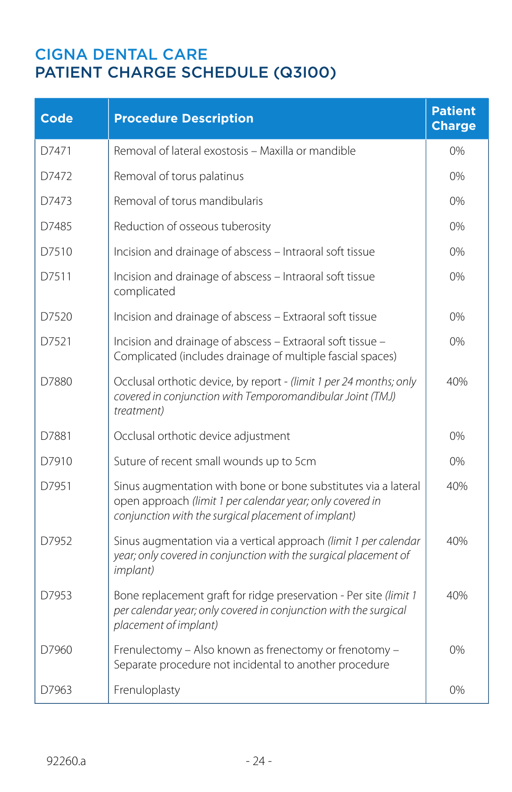| <b>Code</b> | <b>Procedure Description</b>                                                                                                                                                       | <b>Patient</b><br><b>Charge</b> |
|-------------|------------------------------------------------------------------------------------------------------------------------------------------------------------------------------------|---------------------------------|
| D7471       | Removal of lateral exostosis - Maxilla or mandible                                                                                                                                 | 0%                              |
| D7472       | Removal of torus palatinus                                                                                                                                                         | 0%                              |
| D7473       | Removal of torus mandibularis                                                                                                                                                      | $0\%$                           |
| D7485       | Reduction of osseous tuberosity                                                                                                                                                    | 0%                              |
| D7510       | Incision and drainage of abscess - Intraoral soft tissue                                                                                                                           | 0%                              |
| D7511       | Incision and drainage of abscess - Intraoral soft tissue<br>complicated                                                                                                            | 0%                              |
| D7520       | Incision and drainage of abscess - Extraoral soft tissue                                                                                                                           | 0%                              |
| D7521       | Incision and drainage of abscess - Extraoral soft tissue -<br>Complicated (includes drainage of multiple fascial spaces)                                                           | 0%                              |
| D7880       | Occlusal orthotic device, by report - (limit 1 per 24 months; only<br>covered in conjunction with Temporomandibular Joint (TMJ)<br>treatment)                                      | 40%                             |
| D7881       | Occlusal orthotic device adjustment                                                                                                                                                | 0%                              |
| D7910       | Suture of recent small wounds up to 5cm                                                                                                                                            | $0\%$                           |
| D7951       | Sinus augmentation with bone or bone substitutes via a lateral<br>open approach (limit 1 per calendar year; only covered in<br>conjunction with the surgical placement of implant) | 40%                             |
| D7952       | Sinus augmentation via a vertical approach (limit 1 per calendar<br>year; only covered in conjunction with the surgical placement of<br><i>implant</i> )                           | 40%                             |
| D7953       | Bone replacement graft for ridge preservation - Per site (limit 1<br>per calendar year; only covered in conjunction with the surgical<br>placement of implant)                     | 40%                             |
| D7960       | Frenulectomy - Also known as frenectomy or frenotomy -<br>Separate procedure not incidental to another procedure                                                                   | 0%                              |
| D7963       | Frenuloplasty                                                                                                                                                                      | 0%                              |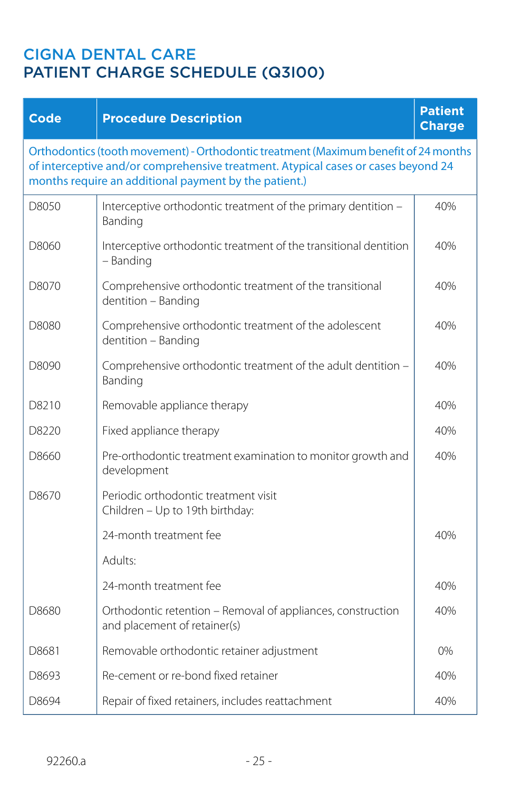| <b>Code</b> | <b>Procedure Description</b>                                                                                                                                                                                                      | <b>Patient</b><br><b>Charge</b> |
|-------------|-----------------------------------------------------------------------------------------------------------------------------------------------------------------------------------------------------------------------------------|---------------------------------|
|             | Orthodontics (tooth movement) - Orthodontic treatment (Maximum benefit of 24 months<br>of interceptive and/or comprehensive treatment. Atypical cases or cases beyond 24<br>months require an additional payment by the patient.) |                                 |
| D8050       | Interceptive orthodontic treatment of the primary dentition -<br>Banding                                                                                                                                                          | 40%                             |
| D8060       | Interceptive orthodontic treatment of the transitional dentition<br>- Banding                                                                                                                                                     | 40%                             |
| D8070       | Comprehensive orthodontic treatment of the transitional<br>dentition - Banding                                                                                                                                                    | 40%                             |
| D8080       | Comprehensive orthodontic treatment of the adolescent<br>dentition - Banding                                                                                                                                                      | 40%                             |
| D8090       | Comprehensive orthodontic treatment of the adult dentition -<br>Banding                                                                                                                                                           | 40%                             |
| D8210       | Removable appliance therapy                                                                                                                                                                                                       | 40%                             |
| D8220       | Fixed appliance therapy                                                                                                                                                                                                           | 40%                             |
| D8660       | Pre-orthodontic treatment examination to monitor growth and<br>development                                                                                                                                                        | 40%                             |
| D8670       | Periodic orthodontic treatment visit<br>Children - Up to 19th birthday:                                                                                                                                                           |                                 |
|             | 24-month treatment fee                                                                                                                                                                                                            | 40%                             |
|             | Adults:                                                                                                                                                                                                                           |                                 |
|             | 24-month treatment fee                                                                                                                                                                                                            | 40%                             |
| D8680       | Orthodontic retention - Removal of appliances, construction<br>and placement of retainer(s)                                                                                                                                       | 40%                             |
| D8681       | Removable orthodontic retainer adjustment                                                                                                                                                                                         | 0%                              |
| D8693       | Re-cement or re-bond fixed retainer                                                                                                                                                                                               | 40%                             |
| D8694       | Repair of fixed retainers, includes reattachment                                                                                                                                                                                  | 40%                             |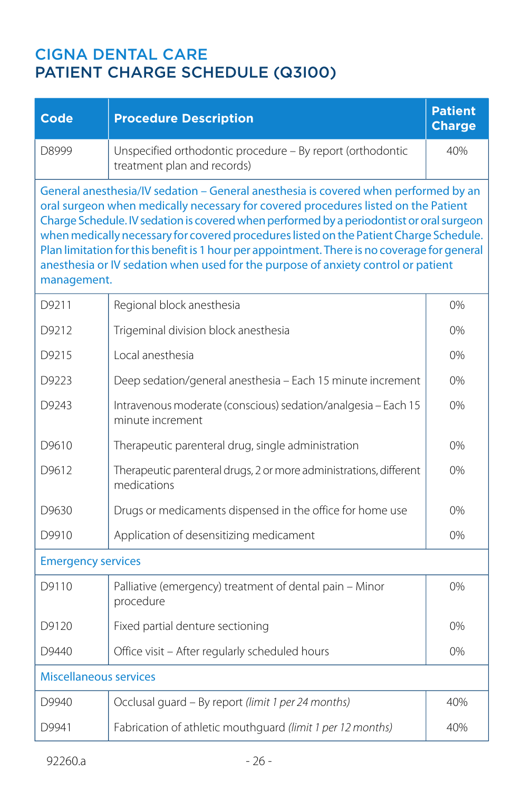| Code                                                                                                                                                                                                                                                                                                                                                                                                                                                                                                                                                                | <b>Procedure Description</b>                                                              | <b>Patient</b><br><b>Charge</b> |
|---------------------------------------------------------------------------------------------------------------------------------------------------------------------------------------------------------------------------------------------------------------------------------------------------------------------------------------------------------------------------------------------------------------------------------------------------------------------------------------------------------------------------------------------------------------------|-------------------------------------------------------------------------------------------|---------------------------------|
| D8999                                                                                                                                                                                                                                                                                                                                                                                                                                                                                                                                                               | Unspecified orthodontic procedure - By report (orthodontic<br>treatment plan and records) | 40%                             |
| General anesthesia/IV sedation - General anesthesia is covered when performed by an<br>oral surgeon when medically necessary for covered procedures listed on the Patient<br>Charge Schedule. IV sedation is covered when performed by a periodontist or oral surgeon<br>when medically necessary for covered procedures listed on the Patient Charge Schedule.<br>Plan limitation for this benefit is 1 hour per appointment. There is no coverage for general<br>anesthesia or IV sedation when used for the purpose of anxiety control or patient<br>management. |                                                                                           |                                 |
| D9211                                                                                                                                                                                                                                                                                                                                                                                                                                                                                                                                                               | Regional block anesthesia                                                                 | 0%                              |
| D9212                                                                                                                                                                                                                                                                                                                                                                                                                                                                                                                                                               | Trigeminal division block anesthesia                                                      | 0%                              |
| D9215                                                                                                                                                                                                                                                                                                                                                                                                                                                                                                                                                               | Local anesthesia                                                                          | 0%                              |
| D9223                                                                                                                                                                                                                                                                                                                                                                                                                                                                                                                                                               | Deep sedation/general anesthesia - Each 15 minute increment                               | 0%                              |
| D9243                                                                                                                                                                                                                                                                                                                                                                                                                                                                                                                                                               | Intravenous moderate (conscious) sedation/analgesia - Each 15<br>minute increment         | 0%                              |
| D9610                                                                                                                                                                                                                                                                                                                                                                                                                                                                                                                                                               | Therapeutic parenteral drug, single administration                                        | 0%                              |
| D9612                                                                                                                                                                                                                                                                                                                                                                                                                                                                                                                                                               | Therapeutic parenteral drugs, 2 or more administrations, different<br>medications         | 0%                              |
| D9630                                                                                                                                                                                                                                                                                                                                                                                                                                                                                                                                                               | Drugs or medicaments dispensed in the office for home use                                 | 0%                              |
| D9910                                                                                                                                                                                                                                                                                                                                                                                                                                                                                                                                                               | Application of desensitizing medicament                                                   | 0%                              |
| <b>Emergency services</b>                                                                                                                                                                                                                                                                                                                                                                                                                                                                                                                                           |                                                                                           |                                 |
| D9110                                                                                                                                                                                                                                                                                                                                                                                                                                                                                                                                                               | Palliative (emergency) treatment of dental pain - Minor<br>procedure                      | 0%                              |
| D9120                                                                                                                                                                                                                                                                                                                                                                                                                                                                                                                                                               | Fixed partial denture sectioning                                                          | 0%                              |
| D9440                                                                                                                                                                                                                                                                                                                                                                                                                                                                                                                                                               | Office visit - After regularly scheduled hours                                            | 0%                              |
| <b>Miscellaneous services</b>                                                                                                                                                                                                                                                                                                                                                                                                                                                                                                                                       |                                                                                           |                                 |
| D9940                                                                                                                                                                                                                                                                                                                                                                                                                                                                                                                                                               | Occlusal guard - By report (limit 1 per 24 months)                                        | 40%                             |
| D9941                                                                                                                                                                                                                                                                                                                                                                                                                                                                                                                                                               | Fabrication of athletic mouthguard (limit 1 per 12 months)                                | 40%                             |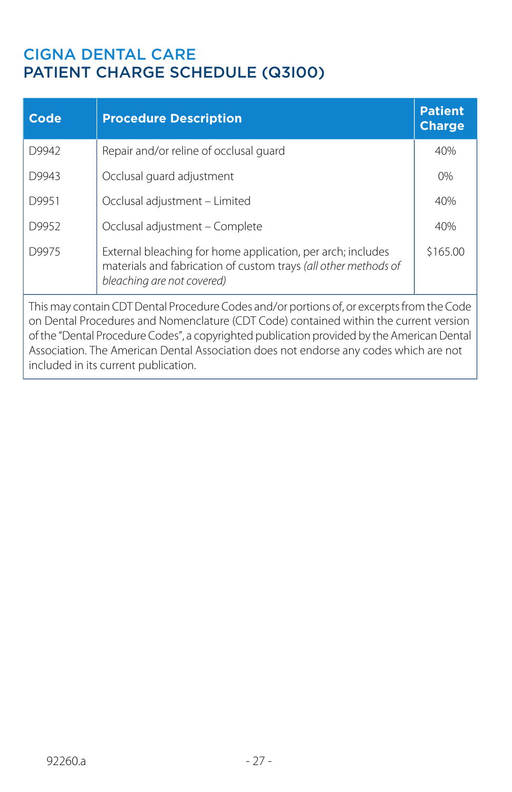included in its current publication.

| Code                                                                                                                                                                                                                                                                                                                                                                      | <b>Procedure Description</b>                                                                                                                                 | <b>Patient</b><br><b>Charge</b> |
|---------------------------------------------------------------------------------------------------------------------------------------------------------------------------------------------------------------------------------------------------------------------------------------------------------------------------------------------------------------------------|--------------------------------------------------------------------------------------------------------------------------------------------------------------|---------------------------------|
| D9942                                                                                                                                                                                                                                                                                                                                                                     | Repair and/or reline of occlusal guard                                                                                                                       | 40%                             |
| D9943                                                                                                                                                                                                                                                                                                                                                                     | Occlusal quard adjustment                                                                                                                                    | $0\%$                           |
| D9951                                                                                                                                                                                                                                                                                                                                                                     | Occlusal adjustment - Limited                                                                                                                                | 40%                             |
| D9952                                                                                                                                                                                                                                                                                                                                                                     | Occlusal adjustment - Complete                                                                                                                               | 40%                             |
| D9975                                                                                                                                                                                                                                                                                                                                                                     | External bleaching for home application, per arch; includes<br>materials and fabrication of custom trays (all other methods of<br>bleaching are not covered) | \$165.00                        |
| This may contain CDT Dental Procedure Codes and/or portions of, or excerpts from the Code<br>on Dental Procedures and Nomenclature (CDT Code) contained within the current version<br>of the "Dental Procedure Codes", a copyrighted publication provided by the American Dental<br>Association. The American Dental Association does not endorse any codes which are not |                                                                                                                                                              |                                 |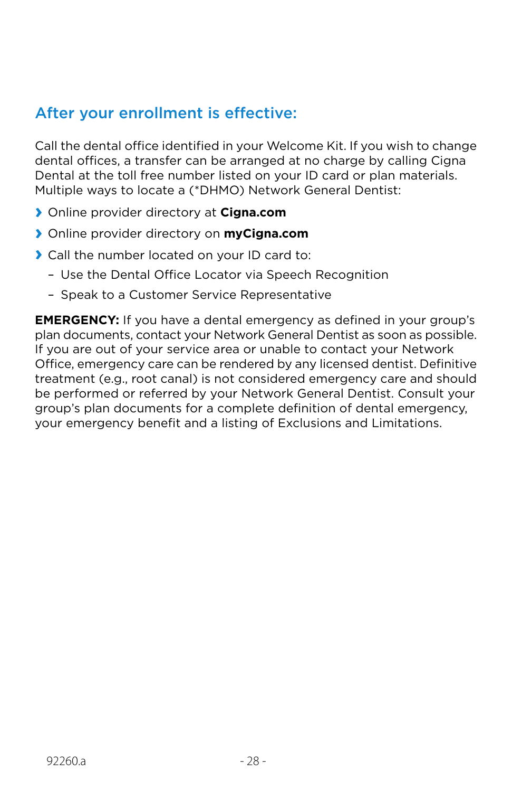## After your enrollment is effective:

Call the dental office identified in your Welcome Kit. If you wish to change dental offices, a transfer can be arranged at no charge by calling Cigna Dental at the toll free number listed on your ID card or plan materials. Multiple ways to locate a (\*DHMO) Network General Dentist:

- **›** Online provider directory at **Cigna.com**
- **›** Online provider directory on **myCigna.com**
- **›** Call the number located on your ID card to:
	- Use the Dental Office Locator via Speech Recognition
	- Speak to a Customer Service Representative

**EMERGENCY:** If you have a dental emergency as defined in your group's plan documents, contact your Network General Dentist as soon as possible. If you are out of your service area or unable to contact your Network Office, emergency care can be rendered by any licensed dentist. Definitive treatment (e.g., root canal) is not considered emergency care and should be performed or referred by your Network General Dentist. Consult your group's plan documents for a complete definition of dental emergency, your emergency benefit and a listing of Exclusions and Limitations.